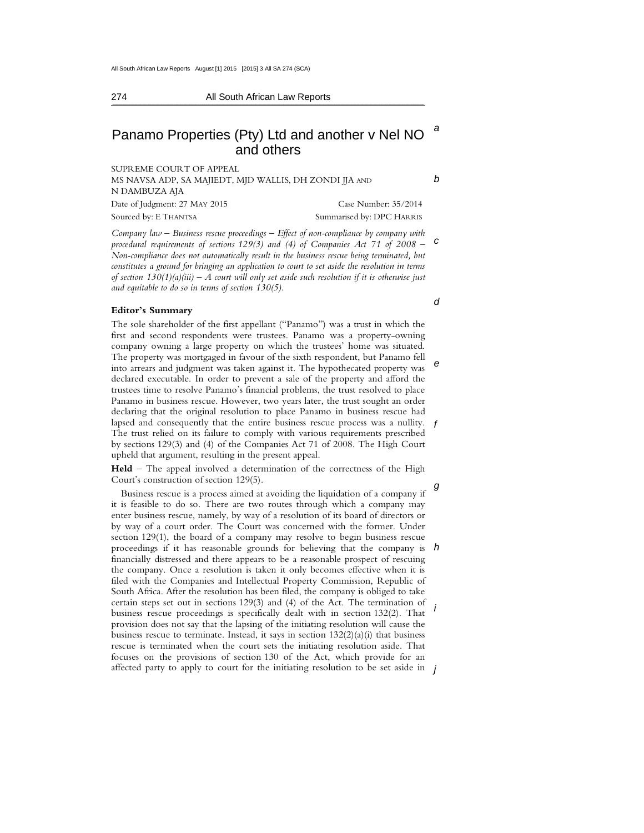$\mathcal{L} = \mathcal{L} = \mathcal{L} = \mathcal{L} = \mathcal{L} = \mathcal{L} = \mathcal{L} = \mathcal{L} = \mathcal{L} = \mathcal{L} = \mathcal{L} = \mathcal{L} = \mathcal{L} = \mathcal{L} = \mathcal{L} = \mathcal{L} = \mathcal{L} = \mathcal{L} = \mathcal{L} = \mathcal{L} = \mathcal{L} = \mathcal{L} = \mathcal{L} = \mathcal{L} = \mathcal{L} = \mathcal{L} = \mathcal{L} = \mathcal{L} = \mathcal{L} = \mathcal{L} = \mathcal{L} = \mathcal$ 

### 274 All South African Law Reports

# a Panamo Properties (Pty) Ltd and another v Nel NO and others

SUPREME COURT OF APPEAL MS NAVSA ADP, SA MAJIEDT, MJD WALLIS, DH ZONDI JJA AND N DAMBUZA AJA Date of Judgment: 27 MAY 2015 Case Number: 35/2014 Sourced by: E THANTSA Summarised by: DPC HARRIS

c *Company law – Business rescue proceedings – Effect of non-compliance by company with*  procedural requirements of sections 129(3) and (4) of Companies Act 71 of 2008 – *Non-compliance does not automatically result in the business rescue being terminated, but constitutes a ground for bringing an application to court to set aside the resolution in terms of section 130(1)(a)(iii) – A court will only set aside such resolution if it is otherwise just and equitable to do so in terms of section 130(5).* 

### **Editor's Summary**

e lapsed and consequently that the entire business rescue process was a nullity.  $f$ The sole shareholder of the first appellant ("Panamo") was a trust in which the first and second respondents were trustees. Panamo was a property-owning company owning a large property on which the trustees' home was situated. The property was mortgaged in favour of the sixth respondent, but Panamo fell into arrears and judgment was taken against it. The hypothecated property was declared executable. In order to prevent a sale of the property and afford the trustees time to resolve Panamo's financial problems, the trust resolved to place Panamo in business rescue. However, two years later, the trust sought an order declaring that the original resolution to place Panamo in business rescue had The trust relied on its failure to comply with various requirements prescribed by sections 129(3) and (4) of the Companies Act 71 of 2008. The High Court upheld that argument, resulting in the present appeal.

**Held** – The appeal involved a determination of the correctness of the High Court's construction of section 129(5).

Business rescue is a process aimed at avoiding the liquidation of a company if  $\theta$ proceedings if it has reasonable grounds for believing that the company is  $h$ i affected party to apply to court for the initiating resolution to be set aside in  $\,$   $\,$   $\,$ it is feasible to do so. There are two routes through which a company may enter business rescue, namely, by way of a resolution of its board of directors or by way of a court order. The Court was concerned with the former. Under section 129(1), the board of a company may resolve to begin business rescue financially distressed and there appears to be a reasonable prospect of rescuing the company. Once a resolution is taken it only becomes effective when it is filed with the Companies and Intellectual Property Commission, Republic of South Africa. After the resolution has been filed, the company is obliged to take certain steps set out in sections 129(3) and (4) of the Act. The termination of business rescue proceedings is specifically dealt with in section 132(2). That provision does not say that the lapsing of the initiating resolution will cause the business rescue to terminate. Instead, it says in section  $132(2)(a)(i)$  that business rescue is terminated when the court sets the initiating resolution aside. That focuses on the provisions of section 130 of the Act, which provide for an

d

b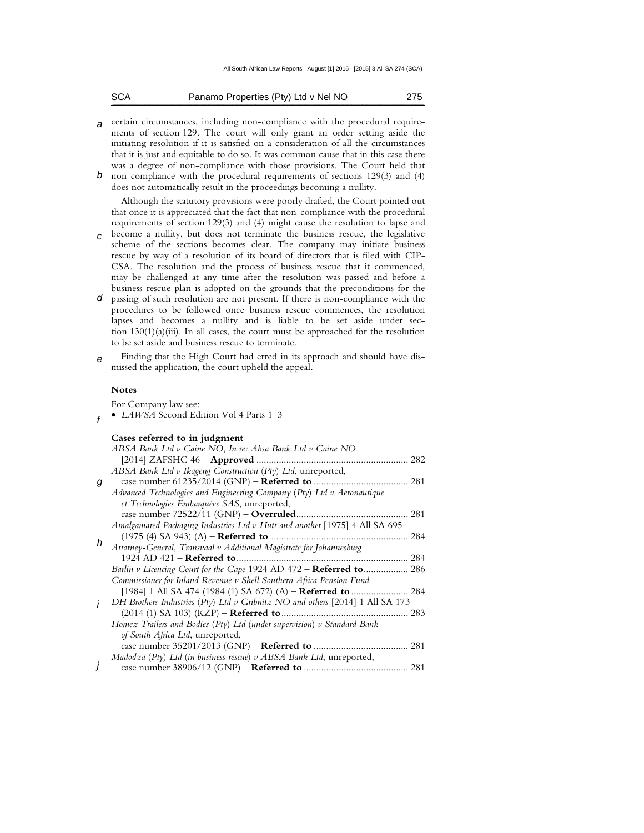| SCA |  | Panamo Properties (Pty) Ltd v Nel NO | 275 |
|-----|--|--------------------------------------|-----|
|-----|--|--------------------------------------|-----|

- a certain circumstances, including non-compliance with the procedural requirements of section 129. The court will only grant an order setting aside the initiating resolution if it is satisfied on a consideration of all the circumstances that it is just and equitable to do so. It was common cause that in this case there was a degree of non-compliance with those provisions. The Court held that
- b non-compliance with the procedural requirements of sections 129(3) and (4) does not automatically result in the proceedings becoming a nullity.

Although the statutory provisions were poorly drafted, the Court pointed out that once it is appreciated that the fact that non-compliance with the procedural requirements of section 129(3) and (4) might cause the resolution to lapse and

- c become a nullity, but does not terminate the business rescue, the legislative scheme of the sections becomes clear. The company may initiate business rescue by way of a resolution of its board of directors that is filed with CIP-CSA. The resolution and the process of business rescue that it commenced, may be challenged at any time after the resolution was passed and before a business rescue plan is adopted on the grounds that the preconditions for the
- d passing of such resolution are not present. If there is non-compliance with the procedures to be followed once business rescue commences, the resolution lapses and becomes a nullity and is liable to be set aside under section  $130(1)(a)(iii)$ . In all cases, the court must be approached for the resolution to be set aside and business rescue to terminate.
- e Finding that the High Court had erred in its approach and should have dismissed the application, the court upheld the appeal.

### **Notes**

For Company law see:

f • *LAWSA* Second Edition Vol 4 Parts 1–3

|   | ABSA Bank Ltd v Caine NO, In re: Absa Bank Ltd v Caine NO                     |  |
|---|-------------------------------------------------------------------------------|--|
|   |                                                                               |  |
|   | ABSA Bank Ltd v Ikageng Construction (Pty) Ltd, unreported,                   |  |
| g |                                                                               |  |
|   | Advanced Technologies and Engineering Company (Pty) Ltd v Aeronautique        |  |
|   | et Technologies Embarquées SAS, unreported,                                   |  |
|   |                                                                               |  |
|   | Amalgamated Packaging Industries Ltd v Hutt and another [1975] 4 All SA 695   |  |
|   |                                                                               |  |
| h | Attorney-General, Transvaal v Additional Magistrate for Johannesburg          |  |
|   |                                                                               |  |
|   | Barlin v Licencing Court for the Cape 1924 AD 472 - Referred to 286           |  |
|   | Commissioner for Inland Revenue v Shell Southern Africa Pension Fund          |  |
|   |                                                                               |  |
|   | DH Brothers Industries (Pty) Ltd v Gribnitz NO and others [2014] 1 All SA 173 |  |
|   |                                                                               |  |
|   | Homez Trailers and Bodies (Pty) Ltd (under supervision) $\nu$ Standard Bank   |  |
|   | of South Africa Ltd, unreported,                                              |  |
|   |                                                                               |  |
|   | Madodza (Pty) Ltd (in business rescue) $\nu$ ABSA Bank Ltd, unreported,       |  |
|   |                                                                               |  |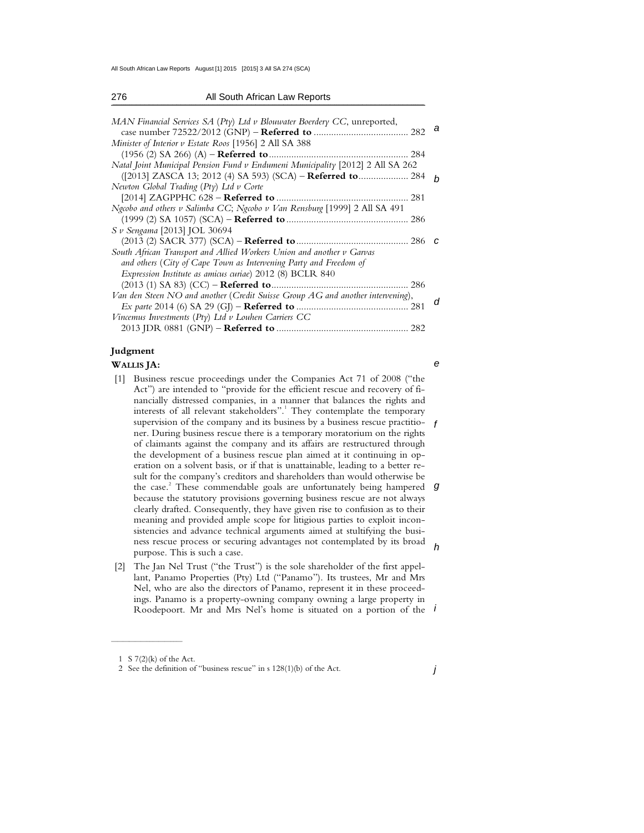All South African Law Reports August [1] 2015 [2015] 3 All SA 274 (SCA)

| 276                          | All South African Law Reports                                                  |
|------------------------------|--------------------------------------------------------------------------------|
|                              | MAN Financial Services SA (Pty) Ltd v Blouwater Boerdery CC, unreported,<br>а  |
|                              | Minister of Interior v Estate Roos [1956] 2 All SA 388                         |
|                              | Natal Joint Municipal Pension Fund v Endumeni Municipality [2012] 2 All SA 262 |
|                              | ([2013] ZASCA 13; 2012 (4) SA 593) (SCA) – Referred to 284<br>h                |
|                              | Newton Global Trading (Pty) Ltd v Corte                                        |
|                              |                                                                                |
|                              | Ngcobo and others v Salimba CC; Ngcobo v Van Rensburg [1999] 2 All SA 491      |
|                              |                                                                                |
| S v Sengama [2013] JOL 30694 |                                                                                |
|                              | C                                                                              |
|                              | South African Transport and Allied Workers Union and another v Garvas          |
|                              | and others (City of Cape Town as Intervening Party and Freedom of              |
|                              | Expression Institute as amicus curiae) 2012 (8) BCLR 840                       |
|                              |                                                                                |
|                              | Van den Steen NO and another (Credit Suisse Group AG and another intervening), |
|                              |                                                                                |
|                              | Vincemus Investments ( $Pty$ ) Ltd v Louhen Carriers CC                        |
|                              |                                                                                |

# **Judgment**

## **WALLIS JA:**

- supervision of the company and its business by a business rescue practitio-  $f$ the case.<sup>2</sup> These commendable goals are unfortunately being hampered g ness rescue process or securing advantages not contemplated by its broad  $h$  [1] Business rescue proceedings under the Companies Act 71 of 2008 ("the Act") are intended to "provide for the efficient rescue and recovery of financially distressed companies, in a manner that balances the rights and interests of all relevant stakeholders".<sup>1</sup> They contemplate the temporary ner. During business rescue there is a temporary moratorium on the rights of claimants against the company and its affairs are restructured through the development of a business rescue plan aimed at it continuing in operation on a solvent basis, or if that is unattainable, leading to a better result for the company's creditors and shareholders than would otherwise be because the statutory provisions governing business rescue are not always clearly drafted. Consequently, they have given rise to confusion as to their meaning and provided ample scope for litigious parties to exploit inconsistencies and advance technical arguments aimed at stultifying the busipurpose. This is such a case.
- Roodepoort. Mr and Mrs Nel's home is situated on a portion of the *i*  [2] The Jan Nel Trust ("the Trust") is the sole shareholder of the first appellant, Panamo Properties (Pty) Ltd ("Panamo"). Its trustees, Mr and Mrs Nel, who are also the directors of Panamo, represent it in these proceedings. Panamo is a property-owning company owning a large property in

 $\mathcal{L}_\text{max}$  , where  $\mathcal{L}_\text{max}$ 

e

 <sup>1</sup> S 7(2)(k) of the Act.

 <sup>2</sup> See the definition of "business rescue" in s 128(1)(b) of the Act.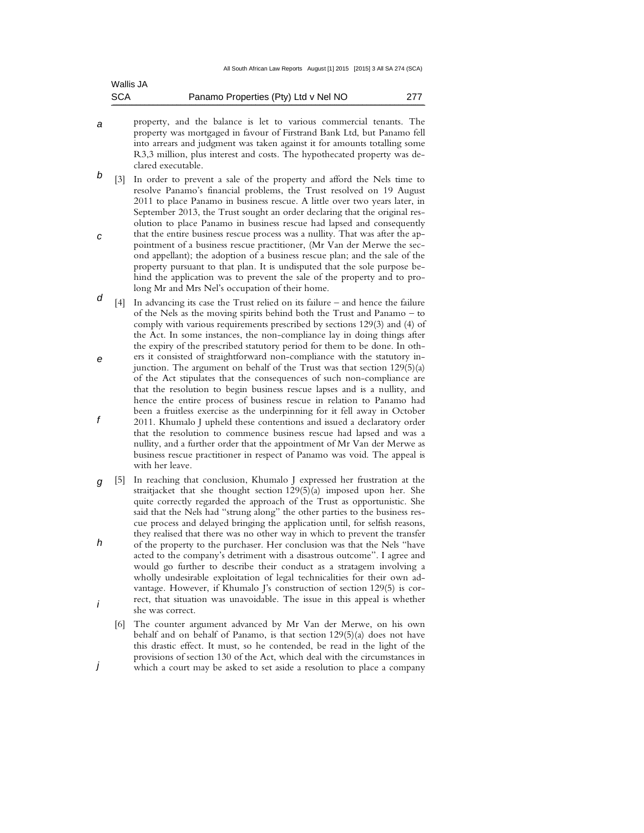| Wallis JA  |                                      |     |
|------------|--------------------------------------|-----|
| <b>SCA</b> | Panamo Properties (Pty) Ltd v Nel NO | 277 |

- a property, and the balance is let to various commercial tenants. The property was mortgaged in favour of Firstrand Bank Ltd, but Panamo fell into arrears and judgment was taken against it for amounts totalling some R3,3 million, plus interest and costs. The hypothecated property was declared executable.
- b [3] In order to prevent a sale of the property and afford the Nels time to resolve Panamo's financial problems, the Trust resolved on 19 August 2011 to place Panamo in business rescue. A little over two years later, in September 2013, the Trust sought an order declaring that the original resolution to place Panamo in business rescue had lapsed and consequently that the entire business rescue process was a nullity. That was after the ap-
- c pointment of a business rescue practitioner, (Mr Van der Merwe the second appellant); the adoption of a business rescue plan; and the sale of the property pursuant to that plan. It is undisputed that the sole purpose behind the application was to prevent the sale of the property and to prolong Mr and Mrs Nel's occupation of their home.
- d [4] In advancing its case the Trust relied on its failure – and hence the failure of the Nels as the moving spirits behind both the Trust and Panamo – to comply with various requirements prescribed by sections 129(3) and (4) of the Act. In some instances, the non-compliance lay in doing things after the expiry of the prescribed statutory period for them to be done. In oth-
- e f ers it consisted of straightforward non-compliance with the statutory injunction. The argument on behalf of the Trust was that section 129(5)(a) of the Act stipulates that the consequences of such non-compliance are that the resolution to begin business rescue lapses and is a nullity, and hence the entire process of business rescue in relation to Panamo had been a fruitless exercise as the underpinning for it fell away in October 2011. Khumalo J upheld these contentions and issued a declaratory order that the resolution to commence business rescue had lapsed and was a nullity, and a further order that the appointment of Mr Van der Merwe as business rescue practitioner in respect of Panamo was void. The appeal is with her leave.
- g [5] In reaching that conclusion, Khumalo J expressed her frustration at the h i straitjacket that she thought section 129(5)(a) imposed upon her. She quite correctly regarded the approach of the Trust as opportunistic. She said that the Nels had "strung along" the other parties to the business rescue process and delayed bringing the application until, for selfish reasons, they realised that there was no other way in which to prevent the transfer of the property to the purchaser. Her conclusion was that the Nels "have acted to the company's detriment with a disastrous outcome". I agree and would go further to describe their conduct as a stratagem involving a wholly undesirable exploitation of legal technicalities for their own advantage. However, if Khumalo J's construction of section 129(5) is correct, that situation was unavoidable. The issue in this appeal is whether she was correct.
	- [6] The counter argument advanced by Mr Van der Merwe, on his own behalf and on behalf of Panamo, is that section 129(5)(a) does not have this drastic effect. It must, so he contended, be read in the light of the provisions of section 130 of the Act, which deal with the circumstances in
- j which a court may be asked to set aside a resolution to place a company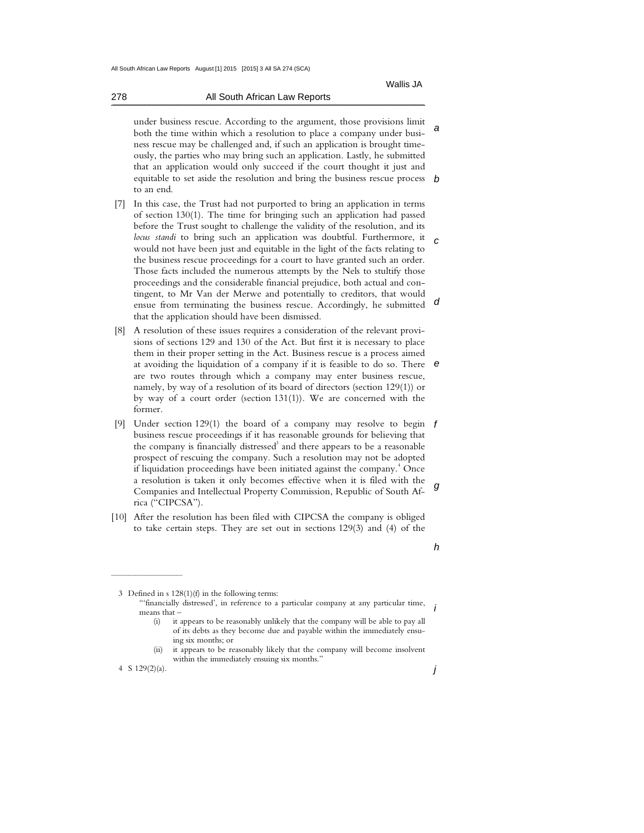278 All South African Law Reports  $\mathcal{L} = \mathcal{L} = \mathcal{L} = \mathcal{L} = \mathcal{L} = \mathcal{L} = \mathcal{L} = \mathcal{L} = \mathcal{L} = \mathcal{L} = \mathcal{L} = \mathcal{L} = \mathcal{L} = \mathcal{L} = \mathcal{L} = \mathcal{L} = \mathcal{L} = \mathcal{L} = \mathcal{L} = \mathcal{L} = \mathcal{L} = \mathcal{L} = \mathcal{L} = \mathcal{L} = \mathcal{L} = \mathcal{L} = \mathcal{L} = \mathcal{L} = \mathcal{L} = \mathcal{L} = \mathcal{L} = \mathcal$ 

a equitable to set aside the resolution and bring the business rescue process b under business rescue. According to the argument, those provisions limit both the time within which a resolution to place a company under business rescue may be challenged and, if such an application is brought timeously, the parties who may bring such an application. Lastly, he submitted that an application would only succeed if the court thought it just and to an end.

- locus standi to bring such an application was doubtful. Furthermore, it c d [7] In this case, the Trust had not purported to bring an application in terms of section 130(1). The time for bringing such an application had passed before the Trust sought to challenge the validity of the resolution, and its would not have been just and equitable in the light of the facts relating to the business rescue proceedings for a court to have granted such an order. Those facts included the numerous attempts by the Nels to stultify those proceedings and the considerable financial prejudice, both actual and contingent, to Mr Van der Merwe and potentially to creditors, that would ensue from terminating the business rescue. Accordingly, he submitted that the application should have been dismissed.
- e [8] A resolution of these issues requires a consideration of the relevant provisions of sections 129 and 130 of the Act. But first it is necessary to place them in their proper setting in the Act. Business rescue is a process aimed at avoiding the liquidation of a company if it is feasible to do so. There are two routes through which a company may enter business rescue, namely, by way of a resolution of its board of directors (section 129(1)) or by way of a court order (section 131(1)). We are concerned with the former.
- [9] Under section 129(1) the board of a company may resolve to begin f g business rescue proceedings if it has reasonable grounds for believing that the company is financially distressed $3$  and there appears to be a reasonable prospect of rescuing the company. Such a resolution may not be adopted if liquidation proceedings have been initiated against the company.<sup>4</sup> Once a resolution is taken it only becomes effective when it is filed with the Companies and Intellectual Property Commission, Republic of South Africa ("CIPCSA").
- [10] After the resolution has been filed with CIPCSA the company is obliged to take certain steps. They are set out in sections 129(3) and (4) of the
- h

3 Defined in s 128(1)(f) in the following terms:

i "'financially distressed', in reference to a particular company at any particular time, means that –

- (i) it appears to be reasonably unlikely that the company will be able to pay all of its debts as they become due and payable within the immediately ensuing six months; or
- (ii) it appears to be reasonably likely that the company will become insolvent within the immediately ensuing six months."

4 S 129(2)(a).

 $\frac{1}{2}$  , and the set of the set of the set of the set of the set of the set of the set of the set of the set of the set of the set of the set of the set of the set of the set of the set of the set of the set of the set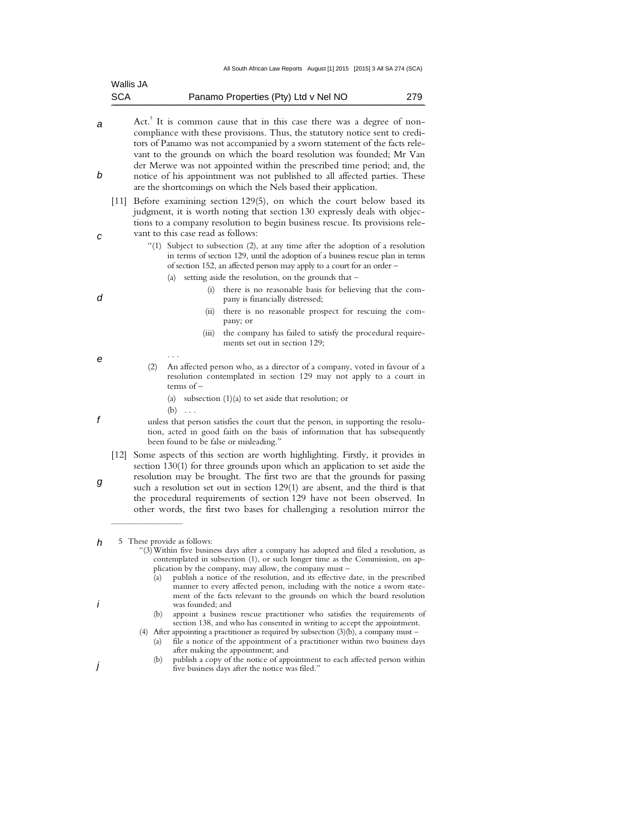|                    | Wallis JA                                                                                                                                                                                                                                                                                                                                                                                                                                                                        |
|--------------------|----------------------------------------------------------------------------------------------------------------------------------------------------------------------------------------------------------------------------------------------------------------------------------------------------------------------------------------------------------------------------------------------------------------------------------------------------------------------------------|
| SCA                | Panamo Properties (Pty) Ltd v Nel NO<br>279                                                                                                                                                                                                                                                                                                                                                                                                                                      |
|                    | Act. <sup>5</sup> It is common cause that in this case there was a degree of non-<br>compliance with these provisions. Thus, the statutory notice sent to credi-<br>tors of Panamo was not accompanied by a sworn statement of the facts rele-<br>vant to the grounds on which the board resolution was founded; Mr Van<br>der Merwe was not appointed within the prescribed time period; and, the<br>notice of his appointment was not published to all affected parties. These |
|                    | are the shortcomings on which the Nels based their application.<br>Before examining section 129(5), on which the court below based its                                                                                                                                                                                                                                                                                                                                           |
| $[11]$             | judgment, it is worth noting that section 130 expressly deals with objec-<br>tions to a company resolution to begin business rescue. Its provisions rele-<br>vant to this case read as follows:<br>"(1) Subject to subsection (2), at any time after the adoption of a resolution<br>in terms of section 129, until the adoption of a business rescue plan in terms                                                                                                              |
|                    | of section 152, an affected person may apply to a court for an order –<br>setting aside the resolution, on the grounds that –<br>(a)<br>there is no reasonable basis for believing that the com-<br>(i)<br>pany is financially distressed;                                                                                                                                                                                                                                       |
|                    | there is no reasonable prospect for rescuing the com-<br>(ii)<br>pany; or<br>the company has failed to satisfy the procedural require-<br>(iii)<br>ments set out in section 129;                                                                                                                                                                                                                                                                                                 |
|                    | An affected person who, as a director of a company, voted in favour of a<br>(2)<br>resolution contemplated in section 129 may not apply to a court in<br>terms of $-$                                                                                                                                                                                                                                                                                                            |
|                    | subsection $(1)(a)$ to set aside that resolution; or<br>(a)<br>$(b) \ldots$                                                                                                                                                                                                                                                                                                                                                                                                      |
|                    | unless that person satisfies the court that the person, in supporting the resolu-<br>tion, acted in good faith on the basis of information that has subsequently<br>been found to be false or misleading."                                                                                                                                                                                                                                                                       |
| $\lceil 12 \rceil$ | Some aspects of this section are worth highlighting. Firstly, it provides in<br>section 130(1) for three grounds upon which an application to set aside the<br>resolution may be brought. The first two are that the grounds for passing<br>such a resolution set out in section 129(1) are absent, and the third is that<br>the procedural requirements of section 129 have not been observed. In<br>other words, the first two bases for challenging a resolution mirror the   |
|                    | 5 These provide as follows:<br>"(3) Within five business days after a company has adopted and filed a resolution, as<br>contemplated in subsection (1), or such longer time as the Commission, on ap-<br>plication by the company, may allow, the company must -<br>publish a notice of the resolution, and its effective date, in the prescribed<br>(a)<br>manner to every affected person, including with the notice a sworn state-                                            |

ment of the facts relevant to the grounds on which the board resolution was founded; and

i

j

- (b) appoint a business rescue practitioner who satisfies the requirements of section 138, and who has consented in writing to accept the appointment.
- (4) After appointing a practitioner as required by subsection (3)(b), a company must (a) file a notice of the appointment of a practitioner within two business days after making the appointment; and
	- (b) publish a copy of the notice of appointment to each affected person within five business days after the notice was filed."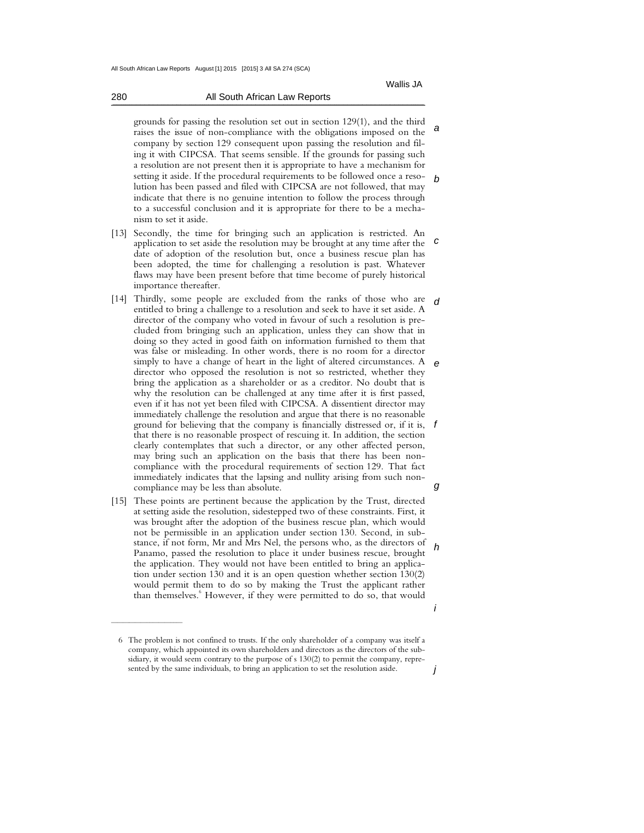a

b

i

j

grounds for passing the resolution set out in section 129(1), and the third raises the issue of non-compliance with the obligations imposed on the company by section 129 consequent upon passing the resolution and filing it with CIPCSA. That seems sensible. If the grounds for passing such a resolution are not present then it is appropriate to have a mechanism for setting it aside. If the procedural requirements to be followed once a resolution has been passed and filed with CIPCSA are not followed, that may indicate that there is no genuine intention to follow the process through to a successful conclusion and it is appropriate for there to be a mechanism to set it aside.

- c [13] Secondly, the time for bringing such an application is restricted. An application to set aside the resolution may be brought at any time after the date of adoption of the resolution but, once a business rescue plan has been adopted, the time for challenging a resolution is past. Whatever flaws may have been present before that time become of purely historical importance thereafter.
- d e ground for believing that the company is financially distressed or, if it is,  $f$ g [14] Thirdly, some people are excluded from the ranks of those who are entitled to bring a challenge to a resolution and seek to have it set aside. A director of the company who voted in favour of such a resolution is precluded from bringing such an application, unless they can show that in doing so they acted in good faith on information furnished to them that was false or misleading. In other words, there is no room for a director simply to have a change of heart in the light of altered circumstances. A director who opposed the resolution is not so restricted, whether they bring the application as a shareholder or as a creditor. No doubt that is why the resolution can be challenged at any time after it is first passed, even if it has not yet been filed with CIPCSA. A dissentient director may immediately challenge the resolution and argue that there is no reasonable that there is no reasonable prospect of rescuing it. In addition, the section clearly contemplates that such a director, or any other affected person, may bring such an application on the basis that there has been noncompliance with the procedural requirements of section 129. That fact immediately indicates that the lapsing and nullity arising from such noncompliance may be less than absolute.
- h [15] These points are pertinent because the application by the Trust, directed at setting aside the resolution, sidestepped two of these constraints. First, it was brought after the adoption of the business rescue plan, which would not be permissible in an application under section 130. Second, in substance, if not form, Mr and Mrs Nel, the persons who, as the directors of Panamo, passed the resolution to place it under business rescue, brought the application. They would not have been entitled to bring an application under section 130 and it is an open question whether section 130(2) would permit them to do so by making the Trust the applicant rather than themselves.<sup>6</sup> However, if they were permitted to do so, that would

 $\frac{1}{2}$  , and the set of the set of the set of the set of the set of the set of the set of the set of the set of the set of the set of the set of the set of the set of the set of the set of the set of the set of the set

 <sup>6</sup> The problem is not confined to trusts. If the only shareholder of a company was itself a company, which appointed its own shareholders and directors as the directors of the subsidiary, it would seem contrary to the purpose of s 130(2) to permit the company, represented by the same individuals, to bring an application to set the resolution aside.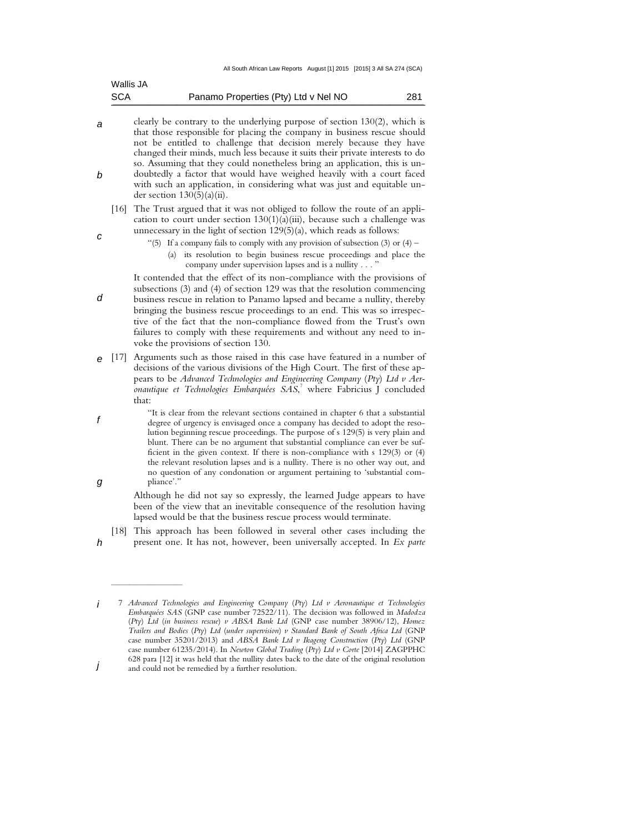| Wallis JA  |                                      |     |
|------------|--------------------------------------|-----|
| <b>SCA</b> | Panamo Properties (Pty) Ltd v Nel NO | 281 |

- a b clearly be contrary to the underlying purpose of section 130(2), which is that those responsible for placing the company in business rescue should not be entitled to challenge that decision merely because they have changed their minds, much less because it suits their private interests to do so. Assuming that they could nonetheless bring an application, this is undoubtedly a factor that would have weighed heavily with a court faced with such an application, in considering what was just and equitable under section 130(5)(a)(ii).
	- [16] The Trust argued that it was not obliged to follow the route of an application to court under section  $130(1)(a)(iii)$ , because such a challenge was unnecessary in the light of section 129(5)(a), which reads as follows:

c

h

 $\mathcal{L}_\text{max}$  , where  $\mathcal{L}_\text{max}$ 

- "(5) If a company fails to comply with any provision of subsection (3) or  $(4)$ 
	- (a) its resolution to begin business rescue proceedings and place the company under supervision lapses and is a nullity . . .

d It contended that the effect of its non-compliance with the provisions of subsections (3) and (4) of section 129 was that the resolution commencing business rescue in relation to Panamo lapsed and became a nullity, thereby bringing the business rescue proceedings to an end. This was so irrespective of the fact that the non-compliance flowed from the Trust's own failures to comply with these requirements and without any need to invoke the provisions of section 130.

- e [17] Arguments such as those raised in this case have featured in a number of decisions of the various divisions of the High Court. The first of these appears to be *Advanced Technologies and Engineering Company* (*Pty*) *Ltd v Aeronautique et Technologies Embarquées SAS*, 7 where Fabricius J concluded that:
- f g "It is clear from the relevant sections contained in chapter 6 that a substantial degree of urgency is envisaged once a company has decided to adopt the resolution beginning rescue proceedings. The purpose of s 129(5) is very plain and blunt. There can be no argument that substantial compliance can ever be sufficient in the given context. If there is non-compliance with s 129(3) or (4) the relevant resolution lapses and is a nullity. There is no other way out, and no question of any condonation or argument pertaining to 'substantial compliance'."

 Although he did not say so expressly, the learned Judge appears to have been of the view that an inevitable consequence of the resolution having lapsed would be that the business rescue process would terminate.

[18] This approach has been followed in several other cases including the

present one. It has not, however, been universally accepted. In *Ex parte* 

i j 7 *Advanced Technologies and Engineering Company* (*Pty*) *Ltd v Aeronautique et Technologies Embarquées SAS* (GNP case number 72522/11). The decision was followed in *Madodza*  (*Pty*) *Ltd* (*in business rescue*) *v ABSA Bank Ltd* (GNP case number 38906/12), *Homez Trailers and Bodies* (*Pty*) *Ltd* (*under supervision*) *v Standard Bank of South Africa Ltd* (GNP case number 35201/2013) and *ABSA Bank Ltd v Ikageng Construction* (*Pty*) *Ltd* (GNP case number 61235/2014). In *Newton Global Trading* (*Pty*) *Ltd v Corte* [2014] ZAGPPHC 628 para [12] it was held that the nullity dates back to the date of the original resolution and could not be remedied by a further resolution.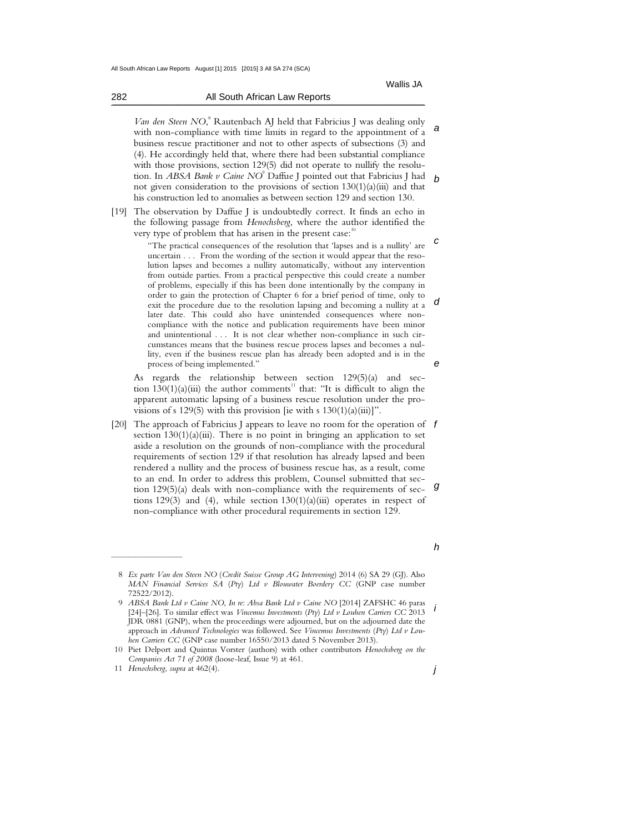282 All South African Law Reports

a b Van den Steen NO,<sup>8</sup> Rautenbach AJ held that Fabricius J was dealing only with non-compliance with time limits in regard to the appointment of a business rescue practitioner and not to other aspects of subsections (3) and (4). He accordingly held that, where there had been substantial compliance with those provisions, section 129(5) did not operate to nullify the resolution. In *ABSA Bank v Caine NO*<sup>9</sup> Daffue J pointed out that Fabricius J had not given consideration to the provisions of section 130(1)(a)(iii) and that his construction led to anomalies as between section 129 and section 130.

[19] The observation by Daffue J is undoubtedly correct. It finds an echo in the following passage from *Henochsberg*, where the author identified the very type of problem that has arisen in the present case:<sup>10</sup>

 $\mathcal{L} = \mathcal{L} = \mathcal{L} = \mathcal{L} = \mathcal{L} = \mathcal{L} = \mathcal{L} = \mathcal{L} = \mathcal{L} = \mathcal{L} = \mathcal{L} = \mathcal{L} = \mathcal{L} = \mathcal{L} = \mathcal{L} = \mathcal{L} = \mathcal{L} = \mathcal{L} = \mathcal{L} = \mathcal{L} = \mathcal{L} = \mathcal{L} = \mathcal{L} = \mathcal{L} = \mathcal{L} = \mathcal{L} = \mathcal{L} = \mathcal{L} = \mathcal{L} = \mathcal{L} = \mathcal{L} = \mathcal$ 

c d e "The practical consequences of the resolution that 'lapses and is a nullity' are uncertain . . . From the wording of the section it would appear that the resolution lapses and becomes a nullity automatically, without any intervention from outside parties. From a practical perspective this could create a number of problems, especially if this has been done intentionally by the company in order to gain the protection of Chapter 6 for a brief period of time, only to exit the procedure due to the resolution lapsing and becoming a nullity at a later date. This could also have unintended consequences where noncompliance with the notice and publication requirements have been minor and unintentional . . . It is not clear whether non-compliance in such circumstances means that the business rescue process lapses and becomes a nullity, even if the business rescue plan has already been adopted and is in the process of being implemented."

 As regards the relationship between section 129(5)(a) and section  $130(1)(a)(iii)$  the author comments<sup>11</sup> that: "It is difficult to align the apparent automatic lapsing of a business rescue resolution under the provisions of s 129(5) with this provision [ie with s  $130(1)(a)(iii)$ ]".

[20] The approach of Fabricius J appears to leave no room for the operation of  $f$ g section  $130(1)(a)(iii)$ . There is no point in bringing an application to set aside a resolution on the grounds of non-compliance with the procedural requirements of section 129 if that resolution has already lapsed and been rendered a nullity and the process of business rescue has, as a result, come to an end. In order to address this problem, Counsel submitted that section 129(5)(a) deals with non-compliance with the requirements of sections 129(3) and (4), while section  $130(1)(a)(iii)$  operates in respect of non-compliance with other procedural requirements in section 129.

 $\mathcal{L}_\text{max}$  , where  $\mathcal{L}_\text{max}$ 

h

 <sup>8</sup> *Ex parte Van den Steen NO* (*Credit Suisse Group AG Intervening*) 2014 (6) SA 29 (GJ). Also *MAN Financial Services SA* (*Pty*) *Ltd v Blouwater Boerdery CC* (GNP case number 72522/2012).

i 9 *ABSA Bank Ltd v Caine NO*, *In re*: *Absa Bank Ltd v Caine NO* [2014] ZAFSHC 46 paras [24]–[26]. To similar effect was *Vincemus Investments* (*Pty*) *Ltd v Louhen Carriers CC* 2013 JDR 0881 (GNP), when the proceedings were adjourned, but on the adjourned date the approach in *Advanced Technologies* was followed. See *Vincemus Investments* (*Pty*) *Ltd v Louhen Carriers CC* (GNP case number 16550/2013 dated 5 November 2013).

 <sup>10</sup> Piet Delport and Quintus Vorster (authors) with other contributors *Henochsberg on the Companies Act 71 of 2008* (loose-leaf, Issue 9) at 461.

 <sup>11</sup> *Henochsberg*, *supra* at 462(4).

j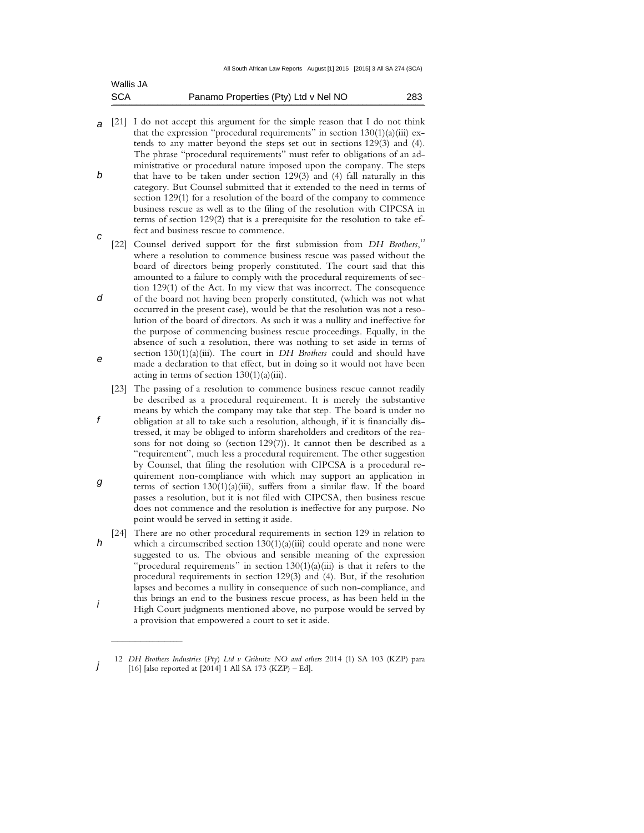| <b>SCA</b> | Panamo Properties (Pty) Ltd v Nel NO | 283 |
|------------|--------------------------------------|-----|
| Wallis JA  |                                      |     |

- a [21] I do not accept this argument for the simple reason that I do not think b that the expression "procedural requirements" in section  $130(1)(a)(iii)$  extends to any matter beyond the steps set out in sections 129(3) and (4). The phrase "procedural requirements" must refer to obligations of an administrative or procedural nature imposed upon the company. The steps that have to be taken under section 129(3) and (4) fall naturally in this category. But Counsel submitted that it extended to the need in terms of section 129(1) for a resolution of the board of the company to commence business rescue as well as to the filing of the resolution with CIPCSA in terms of section 129(2) that is a prerequisite for the resolution to take effect and business rescue to commence.
- c d e [22] Counsel derived support for the first submission from *DH Brothers*,<sup>12</sup> where a resolution to commence business rescue was passed without the board of directors being properly constituted. The court said that this amounted to a failure to comply with the procedural requirements of section 129(1) of the Act. In my view that was incorrect. The consequence of the board not having been properly constituted, (which was not what occurred in the present case), would be that the resolution was not a resolution of the board of directors. As such it was a nullity and ineffective for the purpose of commencing business rescue proceedings. Equally, in the absence of such a resolution, there was nothing to set aside in terms of section 130(1)(a)(iii). The court in *DH Brothers* could and should have made a declaration to that effect, but in doing so it would not have been acting in terms of section  $130(1)(a)(iii)$ .
- f g [23] The passing of a resolution to commence business rescue cannot readily be described as a procedural requirement. It is merely the substantive means by which the company may take that step. The board is under no obligation at all to take such a resolution, although, if it is financially distressed, it may be obliged to inform shareholders and creditors of the reasons for not doing so (section 129(7)). It cannot then be described as a "requirement", much less a procedural requirement. The other suggestion by Counsel, that filing the resolution with CIPCSA is a procedural requirement non-compliance with which may support an application in terms of section 130(1)(a)(iii), suffers from a similar flaw. If the board passes a resolution, but it is not filed with CIPCSA, then business rescue does not commence and the resolution is ineffective for any purpose. No point would be served in setting it aside.
- h i [24] There are no other procedural requirements in section 129 in relation to which a circumscribed section  $130(1)(a)(iii)$  could operate and none were suggested to us. The obvious and sensible meaning of the expression "procedural requirements" in section  $130(1)(a)(iii)$  is that it refers to the procedural requirements in section 129(3) and (4). But, if the resolution lapses and becomes a nullity in consequence of such non-compliance, and this brings an end to the business rescue process, as has been held in the High Court judgments mentioned above, no purpose would be served by a provision that empowered a court to set it aside.

 $\mathcal{L}_\text{max}$  , where  $\mathcal{L}_\text{max}$ 

j 12 *DH Brothers Industries* (*Pty*) *Ltd v Gribnitz NO and others* 2014 (1) SA 103 (KZP) para [16] [also reported at [2014] 1 All SA 173 (KZP) – Ed].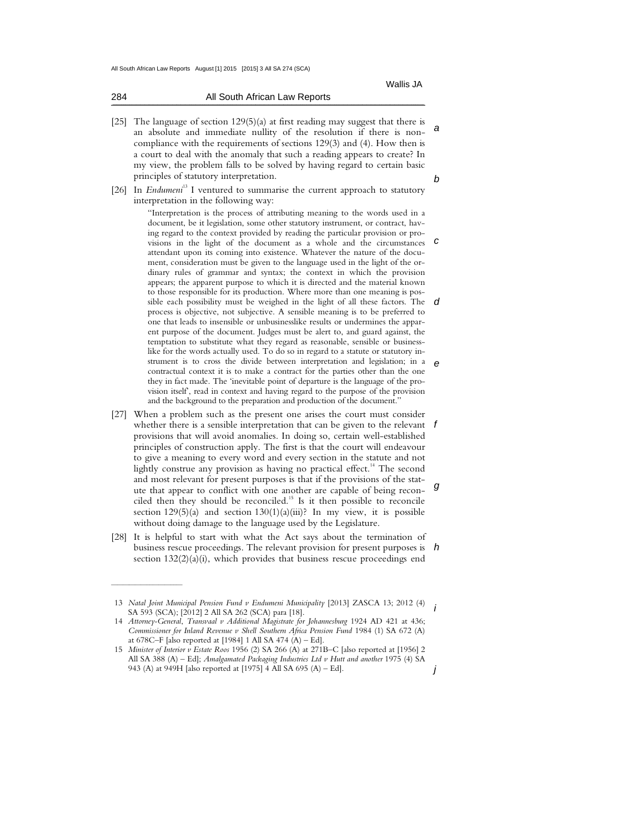| 284 | All South African Law Reports |
|-----|-------------------------------|
|     |                               |

- a b [25] The language of section 129(5)(a) at first reading may suggest that there is an absolute and immediate nullity of the resolution if there is noncompliance with the requirements of sections 129(3) and (4). How then is a court to deal with the anomaly that such a reading appears to create? In my view, the problem falls to be solved by having regard to certain basic principles of statutory interpretation.
- [26] In *Endumeni*<sup>13</sup> I ventured to summarise the current approach to statutory interpretation in the following way:

visions in the light of the document as a whole and the circumstances  $\boldsymbol{c}$ sible each possibility must be weighed in the light of all these factors. The  $d$ e "Interpretation is the process of attributing meaning to the words used in a document, be it legislation, some other statutory instrument, or contract, having regard to the context provided by reading the particular provision or proattendant upon its coming into existence. Whatever the nature of the document, consideration must be given to the language used in the light of the ordinary rules of grammar and syntax; the context in which the provision appears; the apparent purpose to which it is directed and the material known to those responsible for its production. Where more than one meaning is posprocess is objective, not subjective. A sensible meaning is to be preferred to one that leads to insensible or unbusinesslike results or undermines the apparent purpose of the document. Judges must be alert to, and guard against, the temptation to substitute what they regard as reasonable, sensible or businesslike for the words actually used. To do so in regard to a statute or statutory instrument is to cross the divide between interpretation and legislation; in a contractual context it is to make a contract for the parties other than the one they in fact made. The 'inevitable point of departure is the language of the provision itself', read in context and having regard to the purpose of the provision and the background to the preparation and production of the document."

- whether there is a sensible interpretation that can be given to the relevant  $f$ and most relevant for present purposes is that if the provisions of the state<br>that appear to conflict with one another are capable of being recon-[27] When a problem such as the present one arises the court must consider provisions that will avoid anomalies. In doing so, certain well-established principles of construction apply. The first is that the court will endeavour to give a meaning to every word and every section in the statute and not lightly construe any provision as having no practical effect.<sup>14</sup> The second and most relevant for present purposes is that if the provisions of the statciled then they should be reconciled.<sup>15</sup> Is it then possible to reconcile section  $129(5)(a)$  and section  $130(1)(a)(iii)$ ? In my view, it is possible without doing damage to the language used by the Legislature.
- business rescue proceedings. The relevant provision for present purposes is  $\,$  h [28] It is helpful to start with what the Act says about the termination of section 132(2)(a)(i), which provides that business rescue proceedings end

 $\mathcal{L}_\text{max}$  , where  $\mathcal{L}_\text{max}$ 

i 13 *Natal Joint Municipal Pension Fund v Endumeni Municipality* [2013] ZASCA 13; 2012 (4) SA 593 (SCA); [2012] 2 All SA 262 (SCA) para [18].

 <sup>14</sup> *Attorney-General*, *Transvaal v Additional Magistrate for Johannesburg* 1924 AD 421 at 436; *Commissioner for Inland Revenue v Shell Southern Africa Pension Fund* 1984 (1) SA 672 (A) at 678C–F [also reported at [1984] 1 All SA 474 (A) – Ed].

j 15 *Minister of Interior v Estate Roos* 1956 (2) SA 266 (A) at 271B–C [also reported at [1956] 2 All SA 388 (A) – Ed]; *Amalgamated Packaging Industries Ltd v Hutt and another* 1975 (4) SA 943 (A) at 949H [also reported at [1975] 4 All SA 695 (A) – Ed].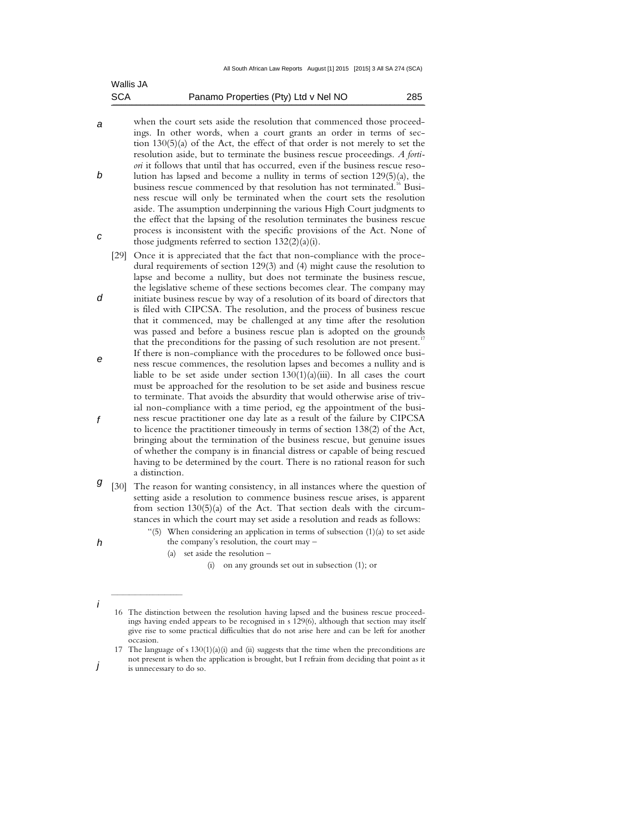| <b>SCA</b> | Panamo Properties (Pty) Ltd v Nel NO | 285 |
|------------|--------------------------------------|-----|
| Wallis JA  |                                      |     |

- a b c when the court sets aside the resolution that commenced those proceedings. In other words, when a court grants an order in terms of section 130(5)(a) of the Act, the effect of that order is not merely to set the resolution aside, but to terminate the business rescue proceedings. *A fortiori* it follows that until that has occurred, even if the business rescue resolution has lapsed and become a nullity in terms of section 129(5)(a), the business rescue commenced by that resolution has not terminated.<sup>16</sup> Business rescue will only be terminated when the court sets the resolution aside. The assumption underpinning the various High Court judgments to the effect that the lapsing of the resolution terminates the business rescue process is inconsistent with the specific provisions of the Act. None of those judgments referred to section 132(2)(a)(i).
	- [29] Once it is appreciated that the fact that non-compliance with the procedural requirements of section 129(3) and (4) might cause the resolution to lapse and become a nullity, but does not terminate the business rescue, the legislative scheme of these sections becomes clear. The company may initiate business rescue by way of a resolution of its board of directors that
- is filed with CIPCSA. The resolution, and the process of business rescue that it commenced, may be challenged at any time after the resolution was passed and before a business rescue plan is adopted on the grounds that the preconditions for the passing of such resolution are not present.<sup>17</sup> If there is non-compliance with the procedures to be followed once busi-
- e f ness rescue commences, the resolution lapses and becomes a nullity and is liable to be set aside under section  $130(1)(a)(iii)$ . In all cases the court must be approached for the resolution to be set aside and business rescue to terminate. That avoids the absurdity that would otherwise arise of trivial non-compliance with a time period, eg the appointment of the business rescue practitioner one day late as a result of the failure by CIPCSA to licence the practitioner timeously in terms of section 138(2) of the Act,
	- bringing about the termination of the business rescue, but genuine issues of whether the company is in financial distress or capable of being rescued having to be determined by the court. There is no rational reason for such a distinction.
- **9** [30] The reason for wanting consistency, in all instances where the question of setting aside a resolution to commence business rescue arises, is apparent from section 130(5)(a) of the Act. That section deals with the circumstances in which the court may set aside a resolution and reads as follows:
	- "(5) When considering an application in terms of subsection (1)(a) to set aside the company's resolution, the court may –
		- (a) set aside the resolution –

(i) on any grounds set out in subsection (1); or

h

i

 $\frac{1}{2}$  , and the set of the set of the set of the set of the set of the set of the set of the set of the set of the set of the set of the set of the set of the set of the set of the set of the set of the set of the set

j

d

 <sup>16</sup> The distinction between the resolution having lapsed and the business rescue proceedings having ended appears to be recognised in s 129(6), although that section may itself give rise to some practical difficulties that do not arise here and can be left for another occasion.

<sup>17</sup> The language of s  $130(1)(a)(i)$  and (ii) suggests that the time when the preconditions are not present is when the application is brought, but I refrain from deciding that point as it is unnecessary to do so.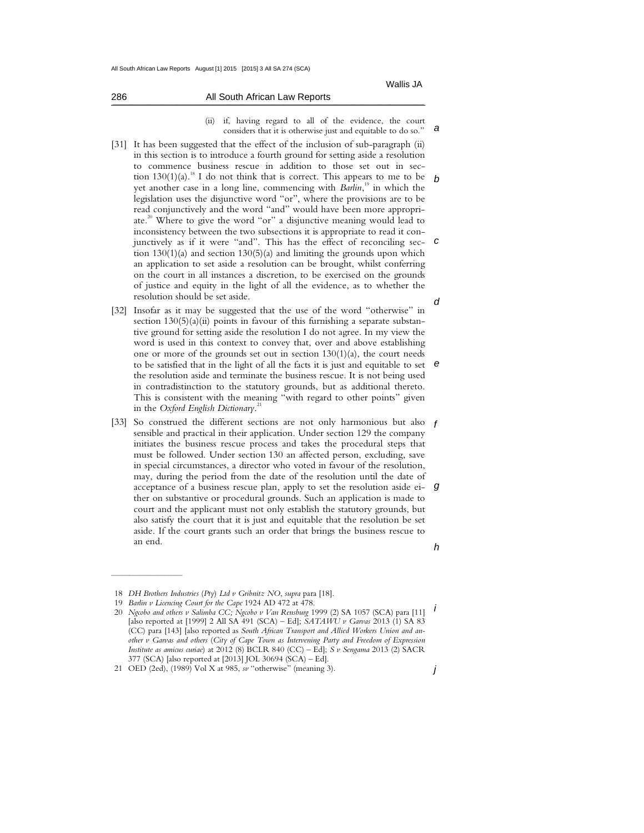a

|  |  |  |  | (ii) if, having regard to all of the evidence, the court     |  |
|--|--|--|--|--------------------------------------------------------------|--|
|  |  |  |  | considers that it is otherwise just and equitable to do so." |  |

- b c d [31] It has been suggested that the effect of the inclusion of sub-paragraph (ii) in this section is to introduce a fourth ground for setting aside a resolution to commence business rescue in addition to those set out in section  $130(1)(a)$ .<sup>18</sup> I do not think that is correct. This appears to me to be yet another case in a long line, commencing with *Barlin*,<sup>19</sup> in which the legislation uses the disjunctive word "or", where the provisions are to be read conjunctively and the word "and" would have been more appropriate. <sup>20</sup> Where to give the word "or" a disjunctive meaning would lead to inconsistency between the two subsections it is appropriate to read it conjunctively as if it were "and". This has the effect of reconciling section 130(1)(a) and section 130(5)(a) and limiting the grounds upon which an application to set aside a resolution can be brought, whilst conferring on the court in all instances a discretion, to be exercised on the grounds of justice and equity in the light of all the evidence, as to whether the resolution should be set aside.
- to be satisfied that in the light of all the facts it is just and equitable to set  $e$ [32] Insofar as it may be suggested that the use of the word "otherwise" in section  $130(5)(a)(ii)$  points in favour of this furnishing a separate substantive ground for setting aside the resolution I do not agree. In my view the word is used in this context to convey that, over and above establishing one or more of the grounds set out in section 130(1)(a), the court needs the resolution aside and terminate the business rescue. It is not being used in contradistinction to the statutory grounds, but as additional thereto. This is consistent with the meaning "with regard to other points" given in the *Oxford English Dictionary*. 21
- [33] So construed the different sections are not only harmonious but also f g sensible and practical in their application. Under section 129 the company initiates the business rescue process and takes the procedural steps that must be followed. Under section 130 an affected person, excluding, save in special circumstances, a director who voted in favour of the resolution, may, during the period from the date of the resolution until the date of acceptance of a business rescue plan, apply to set the resolution aside either on substantive or procedural grounds. Such an application is made to court and the applicant must not only establish the statutory grounds, but also satisfy the court that it is just and equitable that the resolution be set aside. If the court grants such an order that brings the business rescue to an end.

 $\frac{1}{2}$  ,  $\frac{1}{2}$  ,  $\frac{1}{2}$  ,  $\frac{1}{2}$  ,  $\frac{1}{2}$  ,  $\frac{1}{2}$  ,  $\frac{1}{2}$  ,  $\frac{1}{2}$  ,  $\frac{1}{2}$  ,  $\frac{1}{2}$  ,  $\frac{1}{2}$  ,  $\frac{1}{2}$  ,  $\frac{1}{2}$  ,  $\frac{1}{2}$  ,  $\frac{1}{2}$  ,  $\frac{1}{2}$  ,  $\frac{1}{2}$  ,  $\frac{1}{2}$  ,  $\frac{1$ 

j

286 All South African Law Reports  $\mathcal{L} = \mathcal{L} = \mathcal{L} = \mathcal{L} = \mathcal{L} = \mathcal{L} = \mathcal{L} = \mathcal{L} = \mathcal{L} = \mathcal{L} = \mathcal{L} = \mathcal{L} = \mathcal{L} = \mathcal{L} = \mathcal{L} = \mathcal{L} = \mathcal{L} = \mathcal{L} = \mathcal{L} = \mathcal{L} = \mathcal{L} = \mathcal{L} = \mathcal{L} = \mathcal{L} = \mathcal{L} = \mathcal{L} = \mathcal{L} = \mathcal{L} = \mathcal{L} = \mathcal{L} = \mathcal{L} = \mathcal$ 

h

 <sup>18</sup> *DH Brothers Industries* (*Pty*) *Ltd v Gribnitz NO*, *supra* para [18].

 <sup>19</sup> *Barlin v Licencing Court for the Cape* 1924 AD 472 at 478.

i 20 *Ngcobo and others v Salimba CC; Ngcobo v Van Rensburg* 1999 (2) SA 1057 (SCA) para [11] [also reported at [1999] 2 All SA 491 (SCA) – Ed]; *SATAWU v Garvas* 2013 (1) SA 83 (CC) para [143] [also reported as *South African Transport and Allied Workers Union and another v Garvas and others* (*City of Cape Town as Intervening Party and Freedom of Expression Institute as amicus curiae*) at 2012 (8) BCLR 840 (CC) – Ed]; *S v Sengama* 2013 (2) SACR 377 (SCA) [also reported at [2013] JOL 30694 (SCA) – Ed].

 <sup>21</sup> OED (2ed), (1989) Vol X at 985, *sv* "otherwise" (meaning 3).